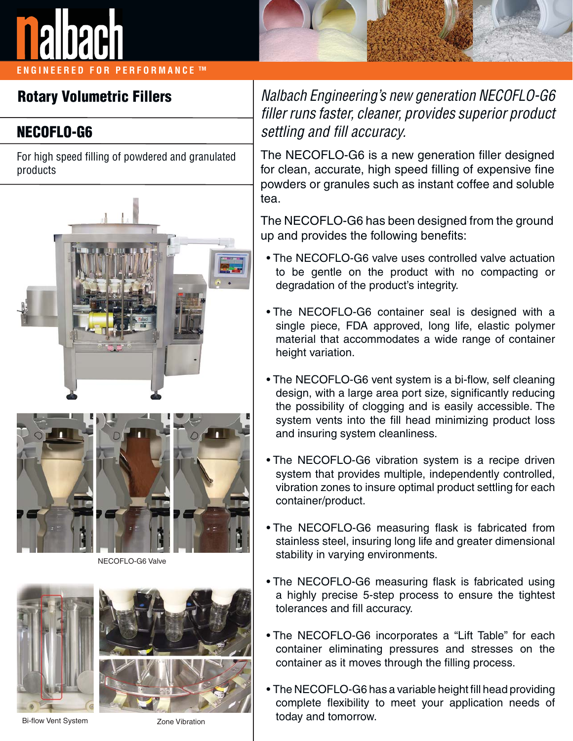

**ENGINEERED FOR PERFORMANCE TM**



## **Rotary Volumetric Fillers**

## **NECOFLO-G6**

For high speed filling of powdered and granulated products





NECOFLO-G6 Valve





Bi-flow Vent System Zone Vibration

Nalbach Engineering's new generation NECOFLO-G6 filler runs faster, cleaner, provides superior product settling and fill accuracy.

The NECOFLO-G6 is a new generation filler designed for clean, accurate, high speed filling of expensive fine powders or granules such as instant coffee and soluble tea.

The NECOFLO-G6 has been designed from the ground up and provides the following benefits:

- The NECOFLO-G6 valve uses controlled valve actuation to be gentle on the product with no compacting or degradation of the product's integrity.
- The NECOFLO-G6 container seal is designed with a single piece, FDA approved, long life, elastic polymer material that accommodates a wide range of container height variation.
- The NECOFLO-G6 vent system is a bi-flow, self cleaning design, with a large area port size, significantly reducing the possibility of clogging and is easily accessible. The system vents into the fill head minimizing product loss and insuring system cleanliness.
- The NECOFLO-G6 vibration system is a recipe driven system that provides multiple, independently controlled, vibration zones to insure optimal product settling for each container/product.
- The NECOFLO-G6 measuring flask is fabricated from stainless steel, insuring long life and greater dimensional stability in varying environments.
- The NECOFLO-G6 measuring flask is fabricated using a highly precise 5-step process to ensure the tightest tolerances and fill accuracy.
- The NECOFLO-G6 incorporates a "Lift Table" for each container eliminating pressures and stresses on the container as it moves through the filling process.
- The NECOFLO-G6 has a variable height fill head providing complete flexibility to meet your application needs of today and tomorrow.